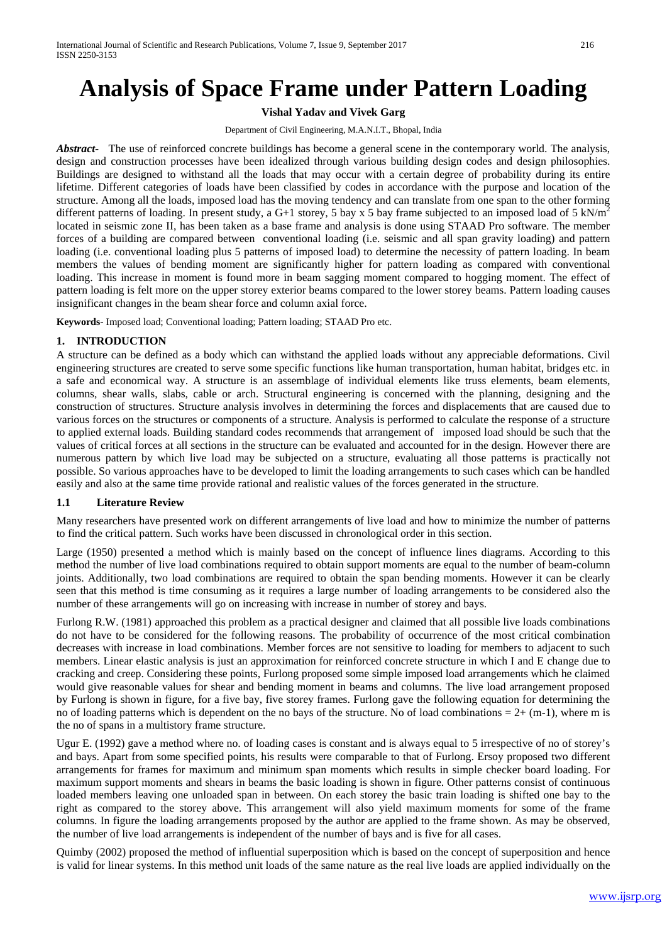# **Analysis of Space Frame under Pattern Loading**

**Vishal Yadav and Vivek Garg**

#### Department of Civil Engineering, M.A.N.I.T., Bhopal, India

*Abstract-* The use of reinforced concrete buildings has become a general scene in the contemporary world. The analysis, design and construction processes have been idealized through various building design codes and design philosophies. Buildings are designed to withstand all the loads that may occur with a certain degree of probability during its entire lifetime. Different categories of loads have been classified by codes in accordance with the purpose and location of the structure. Among all the loads, imposed load has the moving tendency and can translate from one span to the other forming different patterns of loading. In present study, a G+1 storey, 5 bay x 5 bay frame subjected to an imposed load of 5 kN/m<sup>2</sup> located in seismic zone II, has been taken as a base frame and analysis is done using STAAD Pro software. The member forces of a building are compared between conventional loading (i.e. seismic and all span gravity loading) and pattern loading (i.e. conventional loading plus 5 patterns of imposed load) to determine the necessity of pattern loading. In beam members the values of bending moment are significantly higher for pattern loading as compared with conventional loading. This increase in moment is found more in beam sagging moment compared to hogging moment. The effect of pattern loading is felt more on the upper storey exterior beams compared to the lower storey beams. Pattern loading causes insignificant changes in the beam shear force and column axial force.

**Keywords**- Imposed load; Conventional loading; Pattern loading; STAAD Pro etc.

### **1. INTRODUCTION**

A structure can be defined as a body which can withstand the applied loads without any appreciable deformations. Civil engineering structures are created to serve some specific functions like human transportation, human habitat, bridges etc. in a safe and economical way. A structure is an assemblage of individual elements like truss elements, beam elements, columns, shear walls, slabs, cable or arch. Structural engineering is concerned with the planning, designing and the construction of structures. Structure analysis involves in determining the forces and displacements that are caused due to various forces on the structures or components of a structure. Analysis is performed to calculate the response of a structure to applied external loads. Building standard codes recommends that arrangement of imposed load should be such that the values of critical forces at all sections in the structure can be evaluated and accounted for in the design. However there are numerous pattern by which live load may be subjected on a structure, evaluating all those patterns is practically not possible. So various approaches have to be developed to limit the loading arrangements to such cases which can be handled easily and also at the same time provide rational and realistic values of the forces generated in the structure.

### **1.1 Literature Review**

Many researchers have presented work on different arrangements of live load and how to minimize the number of patterns to find the critical pattern. Such works have been discussed in chronological order in this section.

Large (1950) presented a method which is mainly based on the concept of influence lines diagrams. According to this method the number of live load combinations required to obtain support moments are equal to the number of beam-column joints. Additionally, two load combinations are required to obtain the span bending moments. However it can be clearly seen that this method is time consuming as it requires a large number of loading arrangements to be considered also the number of these arrangements will go on increasing with increase in number of storey and bays.

Furlong R.W. (1981) approached this problem as a practical designer and claimed that all possible live loads combinations do not have to be considered for the following reasons. The probability of occurrence of the most critical combination decreases with increase in load combinations. Member forces are not sensitive to loading for members to adjacent to such members. Linear elastic analysis is just an approximation for reinforced concrete structure in which I and E change due to cracking and creep. Considering these points, Furlong proposed some simple imposed load arrangements which he claimed would give reasonable values for shear and bending moment in beams and columns. The live load arrangement proposed by Furlong is shown in figure, for a five bay, five storey frames. Furlong gave the following equation for determining the no of loading patterns which is dependent on the no bays of the structure. No of load combinations  $= 2 + (m-1)$ , where m is the no of spans in a multistory frame structure.

Ugur E. (1992) gave a method where no. of loading cases is constant and is always equal to 5 irrespective of no of storey's and bays. Apart from some specified points, his results were comparable to that of Furlong. Ersoy proposed two different arrangements for frames for maximum and minimum span moments which results in simple checker board loading. For maximum support moments and shears in beams the basic loading is shown in figure. Other patterns consist of continuous loaded members leaving one unloaded span in between. On each storey the basic train loading is shifted one bay to the right as compared to the storey above. This arrangement will also yield maximum moments for some of the frame columns. In figure the loading arrangements proposed by the author are applied to the frame shown. As may be observed, the number of live load arrangements is independent of the number of bays and is five for all cases.

Quimby (2002) proposed the method of influential superposition which is based on the concept of superposition and hence is valid for linear systems. In this method unit loads of the same nature as the real live loads are applied individually on the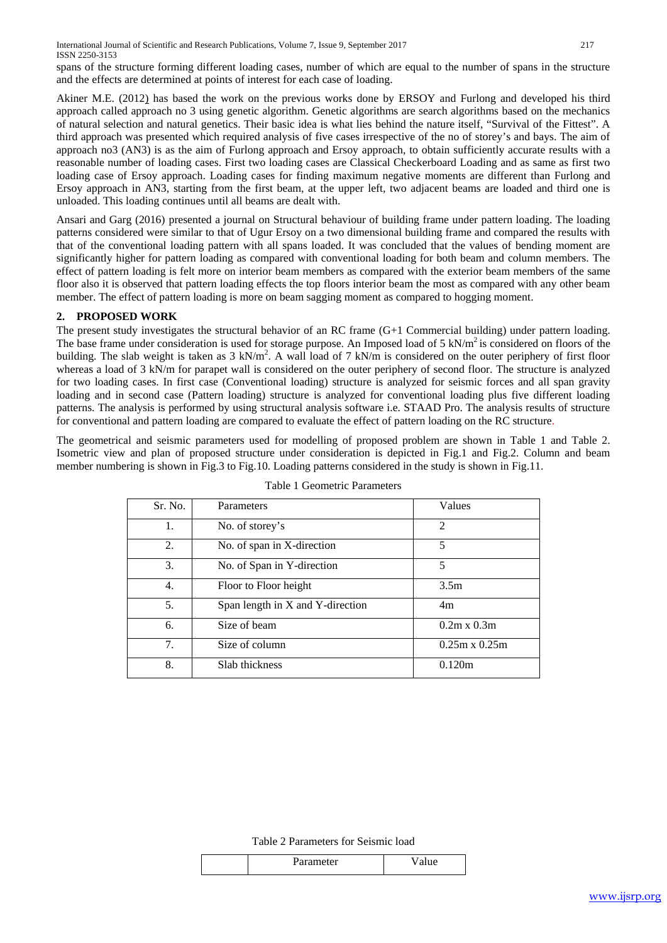spans of the structure forming different loading cases, number of which are equal to the number of spans in the structure and the effects are determined at points of interest for each case of loading.

Akiner M.E. (2012) has based the work on the previous works done by ERSOY and Furlong and developed his third approach called approach no 3 using genetic algorithm. Genetic algorithms are search algorithms based on the mechanics of natural selection and natural genetics. Their basic idea is what lies behind the nature itself, "Survival of the Fittest". A third approach was presented which required analysis of five cases irrespective of the no of storey's and bays. The aim of approach no3 (AN3) is as the aim of Furlong approach and Ersoy approach, to obtain sufficiently accurate results with a reasonable number of loading cases. First two loading cases are Classical Checkerboard Loading and as same as first two loading case of Ersoy approach. Loading cases for finding maximum negative moments are different than Furlong and Ersoy approach in AN3, starting from the first beam, at the upper left, two adjacent beams are loaded and third one is unloaded. This loading continues until all beams are dealt with.

Ansari and Garg (2016) presented a journal on Structural behaviour of building frame under pattern loading. The loading patterns considered were similar to that of Ugur Ersoy on a two dimensional building frame and compared the results with that of the conventional loading pattern with all spans loaded. It was concluded that the values of bending moment are significantly higher for pattern loading as compared with conventional loading for both beam and column members. The effect of pattern loading is felt more on interior beam members as compared with the exterior beam members of the same floor also it is observed that pattern loading effects the top floors interior beam the most as compared with any other beam member. The effect of pattern loading is more on beam sagging moment as compared to hogging moment.

# **2. PROPOSED WORK**

The present study investigates the structural behavior of an RC frame (G+1 Commercial building) under pattern loading. The base frame under consideration is used for storage purpose. An Imposed load of  $5 \text{ kN/m}^2$  is considered on floors of the building. The slab weight is taken as  $3 \text{ kN/m}^2$ . A wall load of  $7 \text{ kN/m}$  is considered on the outer periphery of first floor whereas a load of 3 kN/m for parapet wall is considered on the outer periphery of second floor. The structure is analyzed for two loading cases. In first case (Conventional loading) structure is analyzed for seismic forces and all span gravity loading and in second case (Pattern loading) structure is analyzed for conventional loading plus five different loading patterns. The analysis is performed by using structural analysis software i.e. STAAD Pro. The analysis results of structure for conventional and pattern loading are compared to evaluate the effect of pattern loading on the RC structure.

The geometrical and seismic parameters used for modelling of proposed problem are shown in Table 1 and Table 2. Isometric view and plan of proposed structure under consideration is depicted in Fig.1 and Fig.2. Column and beam member numbering is shown in Fig.3 to Fig.10. Loading patterns considered in the study is shown in Fig.11.

| Sr. No. | Parameters                       | Values               |
|---------|----------------------------------|----------------------|
| 1.      | No. of storey's                  | $\overline{2}$       |
| 2.      | No. of span in X-direction       | 5                    |
| 3.      | No. of Span in Y-direction       | 5                    |
| 4.      | Floor to Floor height            | 3.5 <sub>m</sub>     |
| 5.      | Span length in X and Y-direction | 4m                   |
| 6.      | Size of beam                     | $0.2m \times 0.3m$   |
| 7.      | Size of column                   | $0.25m \times 0.25m$ |
| 8.      | Slab thickness                   | 0.120m               |
|         |                                  |                      |

Table 1 Geometric Parameters

Table 2 Parameters for Seismic load

| 'arameter |  |
|-----------|--|
|           |  |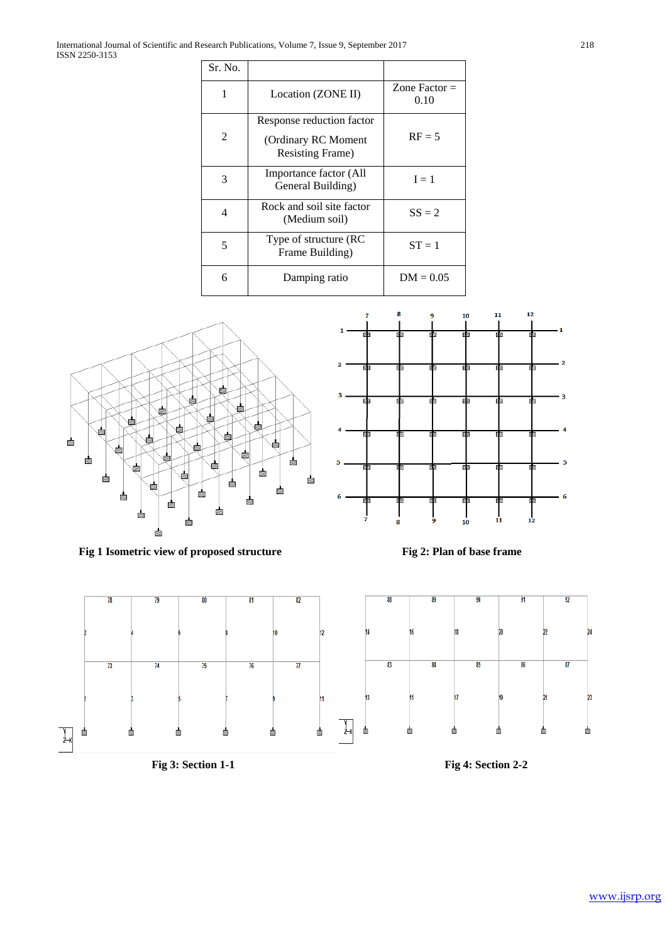| Sr. No. |                                                                               |                         |
|---------|-------------------------------------------------------------------------------|-------------------------|
| 1       | Location (ZONE II)                                                            | Zone Factor $=$<br>0.10 |
| 2       | Response reduction factor<br>(Ordinary RC Moment)<br><b>Resisting Frame</b> ) | $RF = 5$                |
| 3       | Importance factor (All<br>General Building)                                   | $I = 1$                 |
| 4       | Rock and soil site factor<br>(Medium soil)                                    | $SS = 2$                |
| 5       | Type of structure (RC<br>Frame Building)                                      | $ST = 1$                |
| 6       | Damping ratio                                                                 | $DM = 0.05$             |



Fig 1 Isometric view of proposed structure Fig 2: Plan of base frame



 $\overline{11}$ 

10

 $12$ 

8

7

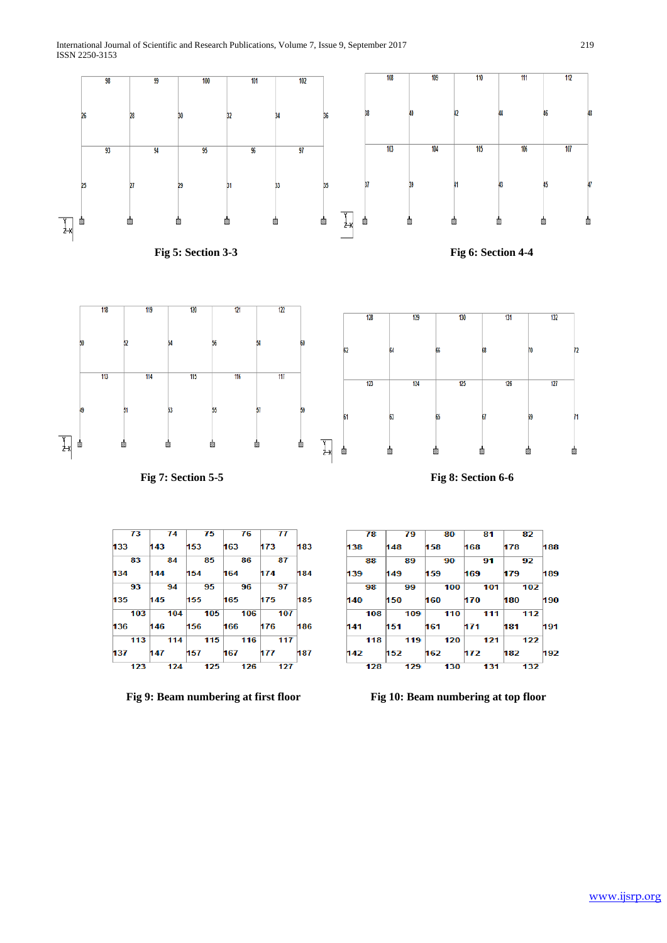





**Fig 9: Beam numbering at first floor** Fig 10: Beam numbering at top floor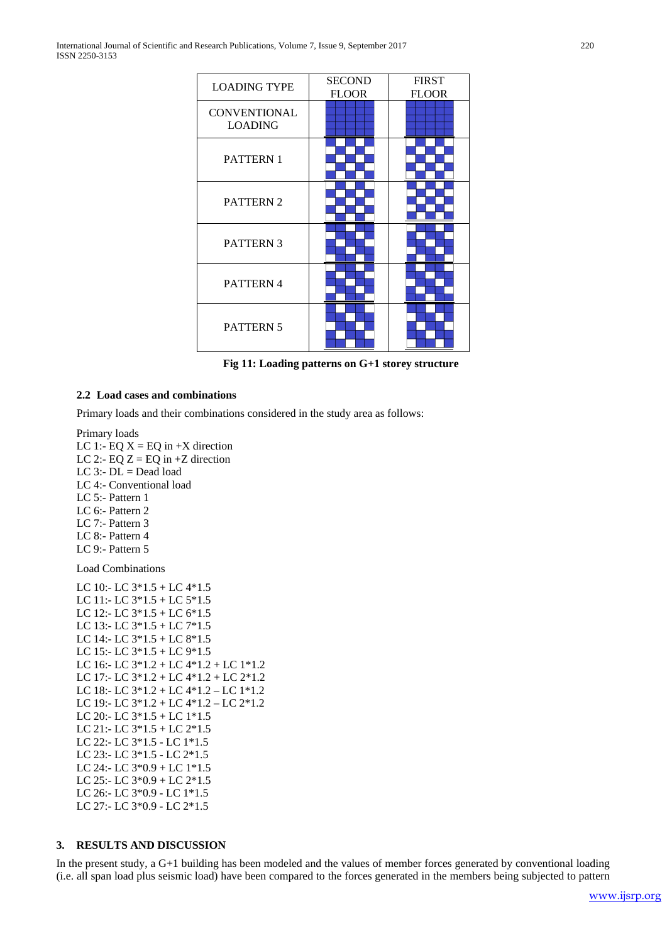| <b>LOADING TYPE</b>                   | <b>SECOND</b><br><b>FLOOR</b> | <b>FIRST</b><br><b>FLOOR</b> |
|---------------------------------------|-------------------------------|------------------------------|
| <b>CONVENTIONAL</b><br><b>LOADING</b> |                               |                              |
| <b>PATTERN1</b>                       |                               |                              |
| PATTERN 2                             |                               |                              |
| <b>PATTERN 3</b>                      |                               |                              |
| PATTERN 4                             |                               |                              |
| PATTERN 5                             |                               |                              |

**Fig 11: Loading patterns on G+1 storey structure**

# **2.2 Load cases and combinations**

Primary loads and their combinations considered in the study area as follows:

Primary loads LC 1:- EQ  $X = EQ$  in +X direction LC 2:- EQ  $Z = EQ$  in  $+Z$  direction LC 3:-  $DL = Dead$  load LC 4:- Conventional load LC 5:- Pattern 1 LC 6:- Pattern 2 LC 7:- Pattern 3 LC 8:- Pattern 4 LC 9:- Pattern 5 Load Combinations LC 10:- LC 3\*1.5 + LC 4\*1.5 LC 11:- LC 3\*1.5 + LC 5\*1.5 LC 12:- LC 3\*1.5 + LC 6\*1.5 LC 13:- LC 3\*1.5 + LC 7\*1.5 LC 14:- LC 3\*1.5 + LC 8\*1.5 LC 15:- LC 3\*1.5 + LC 9\*1.5 LC 16:- LC 3\*1.2 + LC 4\*1.2 + LC 1\*1.2 LC 17:- LC 3\*1.2 + LC 4\*1.2 + LC 2\*1.2 LC 18:- LC 3\*1.2 + LC 4\*1.2 – LC 1\*1.2 LC 19:- LC 3\*1.2 + LC 4\*1.2 – LC 2\*1.2 LC 20:- LC 3\*1.5 + LC 1\*1.5 LC 21:- LC 3\*1.5 + LC 2\*1.5 LC 22:- LC 3\*1.5 - LC 1\*1.5 LC 23:- LC 3\*1.5 - LC 2\*1.5 LC 24:- LC 3\*0.9 + LC 1\*1.5 LC 25:- LC 3\*0.9 + LC 2\*1.5 LC 26:- LC 3\*0.9 - LC 1\*1.5 LC 27:- LC 3\*0.9 - LC 2\*1.5

# **3. RESULTS AND DISCUSSION**

In the present study, a G+1 building has been modeled and the values of member forces generated by conventional loading (i.e. all span load plus seismic load) have been compared to the forces generated in the members being subjected to pattern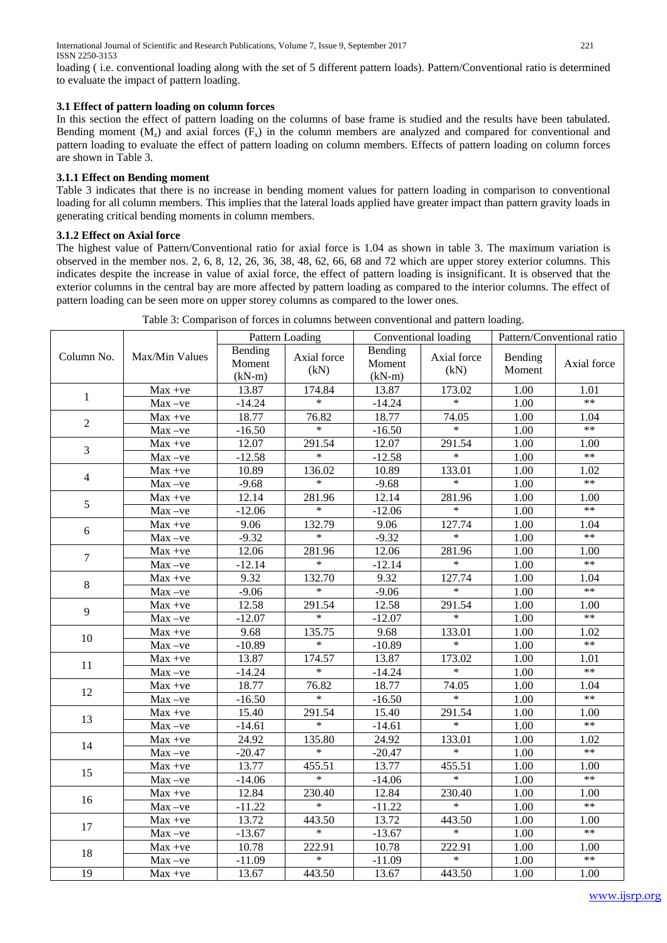loading ( i.e. conventional loading along with the set of 5 different pattern loads). Pattern/Conventional ratio is determined to evaluate the impact of pattern loading.

# **3.1 Effect of pattern loading on column forces**

In this section the effect of pattern loading on the columns of base frame is studied and the results have been tabulated. Bending moment  $(M_z)$  and axial forces  $(F_x)$  in the column members are analyzed and compared for conventional and pattern loading to evaluate the effect of pattern loading on column members. Effects of pattern loading on column forces are shown in Table 3.

# **3.1.1 Effect on Bending moment**

Table 3 indicates that there is no increase in bending moment values for pattern loading in comparison to conventional loading for all column members. This implies that the lateral loads applied have greater impact than pattern gravity loads in generating critical bending moments in column members.

## **3.1.2 Effect on Axial force**

The highest value of Pattern/Conventional ratio for axial force is 1.04 as shown in table 3. The maximum variation is observed in the member nos. 2, 6, 8, 12, 26, 36, 38, 48, 62, 66, 68 and 72 which are upper storey exterior columns. This indicates despite the increase in value of axial force, the effect of pattern loading is insignificant. It is observed that the exterior columns in the central bay are more affected by pattern loading as compared to the interior columns. The effect of pattern loading can be seen more on upper storey columns as compared to the lower ones.

Table 3: Comparison of forces in columns between conventional and pattern loading.

|                 |                |                   | Pattern Loading     | Conventional loading |                     | Pattern/Conventional ratio |                   |
|-----------------|----------------|-------------------|---------------------|----------------------|---------------------|----------------------------|-------------------|
| Column No.      | Max/Min Values | Bending<br>Moment | Axial force<br>(kN) | Bending<br>Moment    | Axial force<br>(kN) | Bending<br>Moment          | Axial force       |
|                 | $Max +ve$      | $(kN-m)$<br>13.87 | 174.84              | $(kN-m)$<br>13.87    | 173.02              | 1.00                       | 1.01              |
| $\mathbf{1}$    | $Max -ve$      | $-14.24$          | $\ast$              | $-14.24$             | $\ast$              | $\overline{1.00}$          | $**$              |
|                 | Max +ve        | 18.77             | 76.82               | 18.77                | 74.05               | 1.00                       | 1.04              |
| $\overline{2}$  | $Max -ve$      | $-16.50$          | $\ast$              | $-16.50$             | $*$                 | 1.00                       | $**$              |
|                 | Max +ve        | 12.07             | 291.54              | 12.07                | 291.54              | 1.00                       | 1.00              |
| 3               | $Max -ve$      | $-12.58$          | $\ast$              | $-12.58$             | $\ast$              | 1.00                       | $**$              |
|                 | $Max +ve$      | 10.89             | 136.02              | 10.89                | 133.01              | 1.00                       | 1.02              |
| $\overline{4}$  | $Max -ve$      | $-9.68$           | $\ast$              | $-9.68$              | $\ast$              | 1.00                       | $**$              |
|                 | Max +ve        | 12.14             | 281.96              | 12.14                | 281.96              | 1.00                       | 1.00              |
| 5               | $Max -ve$      | $-12.06$          | $\ast$              | $-12.06$             | $\ast$              | 1.00                       | $**$              |
|                 | $Max +ve$      | 9.06              | 132.79              | 9.06                 | 127.74              | 1.00                       | 1.04              |
| 6               | $Max -ve$      | $-9.32$           | $\ast$              | $-9.32$              | $\ast$              | 1.00                       | $**$              |
|                 | $Max +ve$      | 12.06             | 281.96              | 12.06                | 281.96              | 1.00                       | 1.00              |
| $\tau$          | $Max -ve$      | $-12.14$          | $\ast$              | $-12.14$             | $\ast$              | 1.00                       | $**$              |
|                 | $Max +ve$      | 9.32              | 132.70              | 9.32                 | 127.74              | 1.00                       | $\overline{1.04}$ |
| $\,8\,$         | $Max -ve$      | $-9.06$           | $\ast$              | $-9.06$              | $\ast$              | 1.00                       | $**$              |
|                 | $Max +ve$      | 12.58             | 291.54              | 12.58                | 291.54              | 1.00                       | 1.00              |
| 9               | $Max -ve$      | $-12.07$          | $\overline{\ast}$   | $-12.07$             | $\ast$              | 1.00                       | $**$              |
|                 | $Max +ve$      | 9.68              | 135.75              | 9.68                 | 133.01              | 1.00                       | 1.02              |
| $10\,$          | $Max -ve$      | $-10.89$          | $\ast$              | $-10.89$             | $\ast$              | 1.00                       | $**$              |
| 11              | Max +ve        | 13.87             | 174.57              | 13.87                | 173.02              | $\overline{1.00}$          | 1.01              |
|                 | $Max -ve$      | $-14.24$          | $\ast$              | $-14.24$             | $\ast$              | $\overline{1.00}$          | $**$              |
|                 | Max +ve        | 18.77             | 76.82               | 18.77                | 74.05               | 1.00                       | 1.04              |
| 12              | $Max -ve$      | $-16.50$          | $\ast$              | $-16.50$             | $\ast$              | 1.00                       | $**$              |
| 13              | Max +ve        | 15.40             | 291.54              | 15.40                | 291.54              | 1.00                       | 1.00              |
|                 | $Max -ve$      | $-14.61$          | $\ast$              | $-14.61$             | $\ast$              | 1.00                       | $**$              |
| 14              | Max +ve        | 24.92             | 135.80              | 24.92                | 133.01              | 1.00                       | 1.02              |
|                 | $Max -ve$      | $-20.47$          | $\ast$              | $-20.47$             | $\ast$              | 1.00                       | $**$              |
| 15              | $Max +ve$      | 13.77             | 455.51              | 13.77                | 455.51              | 1.00                       | 1.00              |
|                 | $Max -ve$      | $-14.06$          | $\ast$              | $-14.06$             | $\ast$              | 1.00                       | $**$              |
| 16              | $Max +ve$      | 12.84             | 230.40              | 12.84                | 230.40              | 1.00                       | 1.00              |
|                 | $Max -ve$      | $-11.22$          | $\ast$              | $-11.22$             | $\ast$              | 1.00                       | $**$              |
| 17              | Max +ve        | 13.72             | 443.50              | 13.72                | 443.50              | 1.00                       | 1.00              |
|                 | $Max -ve$      | $-13.67$          | $\ast$              | $-13.67$             | $*$                 | 1.00                       | $**$              |
| 18              | $Max +ve$      | 10.78             | 222.91              | 10.78                | 222.91              | 1.00                       | 1.00              |
|                 | $Max -ve$      | $-11.09$          | $\ast$              | $-11.09$             | $\ast$              | 1.00                       | $**$              |
| $\overline{19}$ | $Max +ve$      | 13.67             | 443.50              | 13.67                | 443.50              | 1.00                       | 1.00              |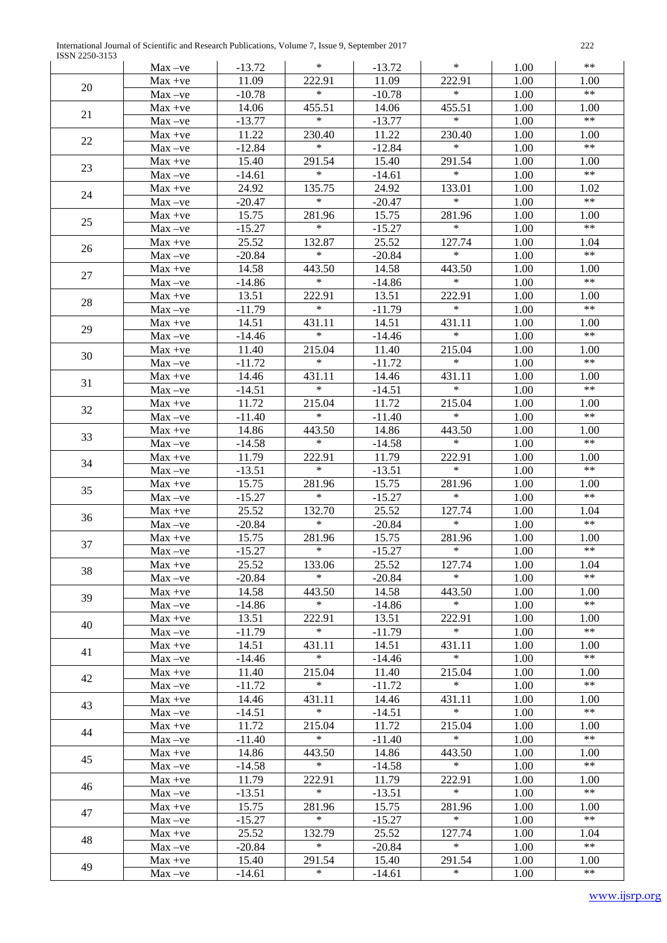International Journal of Scientific and Research Publications, Volume 7, Issue 9, September 2017 222 ISSN 2250-3153

|    | $Max -ve$              | $-13.72$          | $\ast$           | $-13.72$          | $\ast$           | 1.00         | $**$               |
|----|------------------------|-------------------|------------------|-------------------|------------------|--------------|--------------------|
| 20 | $Max +ve$              | 11.09             | 222.91           | 11.09             | 222.91           | 1.00         | 1.00               |
|    | $Max -ve$              | $-10.78$          | $\ast$           | $-10.78$          | $\ast$           | 1.00         | $\ast\ast$         |
| 21 | $Max +ve$              | 14.06             | 455.51           | 14.06             | 455.51           | 1.00         | 1.00               |
|    | $Max -ve$              | $-13.77$          | $\ast$           | $-13.77$          | $\ast$           | 1.00         | $***$              |
| 22 | $Max +ve$              | 11.22             | 230.40           | 11.22             | 230.40           | 1.00         | 1.00               |
|    | $Max -ve$              | $-12.84$          | $\ast$           | $-12.84$          | $\ast$           | 1.00         | $**$               |
| 23 | $Max +ve$              | 15.40             | 291.54           | 15.40             | 291.54           | 1.00         | 1.00               |
|    | $Max -ve$              | $-14.61$          | $\ast$           | $-14.61$          | $\ast$           | 1.00         | $\ast\ast$         |
| 24 | $Max +ve$              | 24.92             | 135.75           | 24.92             | 133.01           | 1.00         | 1.02               |
|    | $Max -ve$              | $-20.47$          | $\ast$           | $-20.47$          | $\ast$           | 1.00         | $**$               |
| 25 | $Max +ve$              | 15.75             | 281.96           | 15.75             | 281.96           | 1.00         | 1.00               |
|    | $Max -ve$              | $-15.27$          | $\ast$           | $-15.27$          | $\ast$           | 1.00         | $**$               |
| 26 | $Max +ve$              | 25.52             | 132.87           | 25.52             | 127.74           | 1.00         | 1.04               |
|    | $Max -ve$              | $-20.84$          | $\ast$           | $-20.84$          | $\ast$           | 1.00         | $\ast\ast$         |
| 27 | $Max +ve$              | 14.58             | 443.50           | 14.58             | 443.50           | 1.00         | 1.00               |
|    | $Max -ve$              | $-14.86$          | $\ast$           | $-14.86$          | $\ast$           | 1.00         | $\ast\ast$         |
| 28 | $Max +ve$              | 13.51             | 222.91           | 13.51             | 222.91           | 1.00         | 1.00               |
|    | $Max -ve$              | $-11.79$          | $\ast$           | $-11.79$          | $\ast$           | 1.00         | $\ast\ast$         |
| 29 | $Max +ve$              | 14.51             | 431.11           | 14.51             | 431.11           | 1.00         | 1.00               |
|    | $Max -ve$              | $-14.46$          | $\ast$           | $-14.46$          | $\ast$           | 1.00         | $\ast\ast$         |
| 30 | $Max +ve$              | 11.40             | 215.04           | 11.40             | 215.04           | 1.00         | 1.00               |
|    | $Max -ve$              | $-11.72$          | $\ast$           | $-11.72$          | $\ast$           | 1.00         | $\ast\ast$         |
| 31 | $Max +ve$              | 14.46             | 431.11<br>$\ast$ | 14.46             | 431.11<br>$\ast$ | 1.00         | 1.00<br>$\ast\ast$ |
|    | $Max -ve$              | $-14.51$          |                  | $-14.51$          |                  | 1.00         |                    |
| 32 | $Max +ve$              | 11.72             | 215.04<br>$\ast$ | 11.72             | 215.04<br>$\ast$ | 1.00         | 1.00<br>$**$       |
|    | $Max -ve$              | $-11.40$          | 443.50           | $-11.40$<br>14.86 | 443.50           | 1.00<br>1.00 | 1.00               |
| 33 | $Max +ve$<br>$Max -ve$ | 14.86<br>$-14.58$ | $\ast$           | $-14.58$          | $\ast$           | 1.00         | $**$               |
|    | $Max +ve$              | 11.79             | 222.91           | 11.79             | 222.91           | 1.00         | 1.00               |
| 34 | $Max -ve$              | $-13.51$          | $\ast$           | $-13.51$          | $\ast$           | 1.00         | $**$               |
|    | $Max +ve$              | 15.75             | 281.96           | 15.75             | 281.96           | 1.00         | 1.00               |
| 35 | $Max -ve$              | $-15.27$          | $\ast$           | $-15.27$          | $\ast$           | 1.00         | $\ast\ast$         |
|    | $Max +ve$              | 25.52             | 132.70           | 25.52             | 127.74           | 1.00         | 1.04               |
| 36 | $Max -ve$              | $-20.84$          | $\ast$           | $-20.84$          | $\ast$           | 1.00         | $\ast\ast$         |
| 37 | $Max +ve$              | 15.75             | 281.96           | 15.75             | 281.96           | 1.00         | 1.00               |
|    | $Max -ve$              | $-15.27$          | $\ast$           | $-15.27$          | $\ast$           | 1.00         | $***$              |
| 38 | $Max +ve$              | 25.52             | 133.06           | 25.52             | 127.74           | 1.00         | 1.04               |
|    | $Max -ve$              | $-20.84$          | *                | $-20.84$          |                  | 1.00         | $***$              |
| 39 | $Max +ve$              | 14.58             | 443.50           | 14.58             | 443.50           | 1.00         | 1.00               |
|    | $Max -ve$              | $-14.86$          | *                | $-14.86$          | $\ast$           | 1.00         | $***$              |
| 40 | $Max +ve$              | 13.51             | 222.91           | 13.51             | 222.91           | 1.00         | 1.00               |
|    | $Max -ve$              | $-11.79$          | $\ast$           | $-11.79$          | $\ast$           | 1.00         | $***$              |
| 41 | $Max +ve$              | 14.51<br>$-14.46$ | 431.11<br>$\ast$ | 14.51<br>$-14.46$ | 431.11<br>$\ast$ | 1.00<br>1.00 | 1.00<br>$***$      |
|    | $Max -ve$<br>$Max +ve$ | 11.40             | 215.04           | 11.40             | 215.04           | 1.00         | 1.00               |
| 42 | $Max -ve$              | $-11.72$          | $\ast$           | $-11.72$          | $\ast$           | 1.00         | $***$              |
|    | $Max +ve$              | 14.46             | 431.11           | 14.46             | 431.11           | 1.00         | 1.00               |
| 43 | $Max -ve$              | $-14.51$          | $\ast$           | $-14.51$          | $\ast$           | 1.00         | $***$              |
| 44 | $Max +ve$              | 11.72             | 215.04           | 11.72             | 215.04           | 1.00         | 1.00               |
|    | $Max -ve$              | $-11.40$          | $\ast$           | $-11.40$          | $\ast$           | 1.00         | $***$              |
| 45 | $Max +ve$              | 14.86             | 443.50           | 14.86             | 443.50           | 1.00         | 1.00               |
|    | $Max -ve$              | $-14.58$          | $\ast$           | $-14.58$          | $\ast$           | 1.00         | $***$              |
|    | $Max +ve$              | 11.79             | 222.91           | 11.79             | 222.91           | 1.00         | 1.00               |
| 46 | $Max -ve$              | $-13.51$          | $\ast$           | $-13.51$          | $\ast$           | 1.00         | $***$              |
| 47 | $Max +ve$              | 15.75             | 281.96           | 15.75             | 281.96           | 1.00         | 1.00               |
|    | $Max -ve$              | $-15.27$          | $\ast$           | $-15.27$          | $\ast$           | 1.00         | $***$              |
| 48 | $Max +ve$              | 25.52             | 132.79           | 25.52             | 127.74           | 1.00         | 1.04               |
|    | $Max -ve$              | $-20.84$          | $\ast$           | $-20.84$          | $\ast$           | 1.00         | $***$              |
| 49 | $Max +ve$              | 15.40             | 291.54           | 15.40             | 291.54           | 1.00         | 1.00               |
|    | $Max -ve$              | $-14.61$          | $\ast$           | $-14.61$          | $\ast$           | 1.00         | $***$              |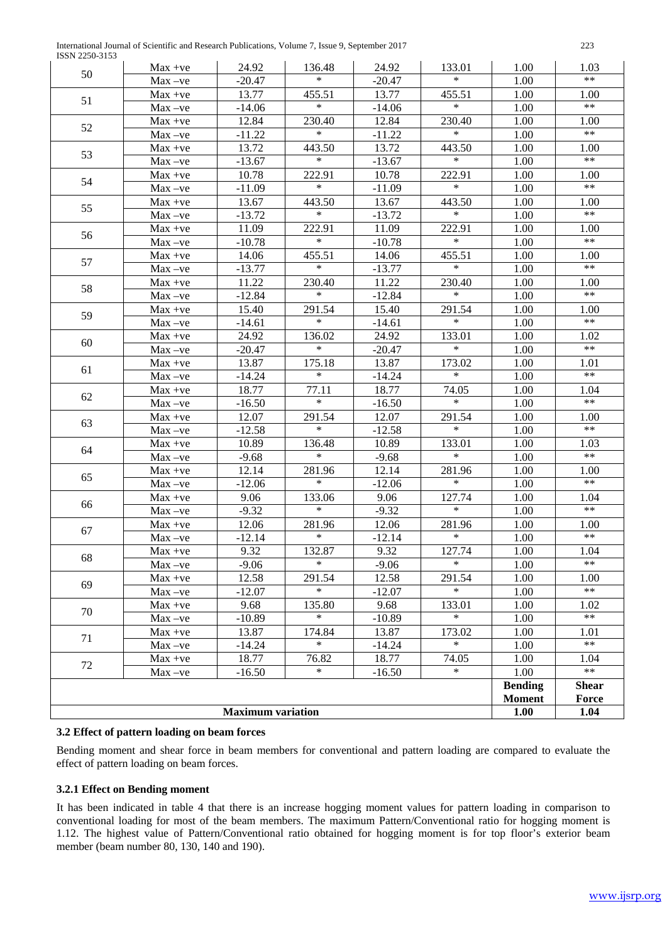| International Journal of Scientific and Research Publications, Volume 7, Issue 9, September 2017 | 223 |
|--------------------------------------------------------------------------------------------------|-----|
| ISSN 2250-3153                                                                                   |     |

| <b>19918 2230-3133</b><br>50 | $Max +ve$              | 24.92            | 136.48           | 24.92            | 133.01           | 1.00           | 1.03          |
|------------------------------|------------------------|------------------|------------------|------------------|------------------|----------------|---------------|
|                              | $Max -ve$              | $-20.47$         | $\ast$           | $-20.47$         | $\ast$           | 1.00           | $***$         |
| 51                           | $Max +ve$              | 13.77            | 455.51           | 13.77            | 455.51           | 1.00           | 1.00          |
|                              | $Max -ve$              | $-14.06$         | $\ast$           | $-14.06$         | $\ast$           | 1.00           | $***$         |
| 52                           | $Max +ve$              | 12.84            | 230.40           | 12.84            | 230.40           | 1.00           | 1.00          |
|                              | $Max -ve$              | $-11.22$         | $\ast$           | $-11.22$         | $\ast$           | 1.00           | $***$         |
| 53                           | $Max +ve$              | 13.72            | 443.50           | 13.72            | 443.50           | 1.00           | 1.00          |
|                              | $Max -ve$              | $-13.67$         | $\ast$           | $-13.67$         | $\ast$           | 1.00           | $***$         |
| 54                           | $Max +ve$              | 10.78            | 222.91           | 10.78            | 222.91           | 1.00           | 1.00          |
|                              | $Max -ve$              | $-11.09$         | $\ast$           | $-11.09$         | $\ast$           | 1.00           | $***$         |
| 55                           | $Max +ve$              | 13.67            | 443.50           | 13.67            | 443.50           | 1.00           | 1.00          |
|                              | $Max -ve$              | $-13.72$         | $\ast$           | $-13.72$         | $\ast$           | 1.00           | $***$         |
| 56                           | $Max +ve$              | 11.09            | 222.91           | 11.09            | 222.91           | 1.00           | 1.00          |
|                              | $Max -ve$              | $-10.78$         | $\ast$           | $-10.78$         | $\ast$           | 1.00           | $***$         |
| 57                           | $Max +ve$              | 14.06            | 455.51           | 14.06            | 455.51           | 1.00           | 1.00          |
|                              | $Max -ve$              | $-13.77$         | $\ast$           | $-13.77$         | $\ast$           | 1.00           | $***$         |
| 58                           | $Max +ve$              | 11.22            | 230.40           | 11.22            | 230.40           | 1.00           | 1.00          |
|                              | $Max -ve$              | $-12.84$         | $\ast$           | $-12.84$         | $\ast$           | 1.00           | $***$         |
| 59                           | $Max +ve$              | 15.40            | 291.54           | 15.40            | 291.54           | 1.00           | 1.00          |
|                              | $Max -ve$              | $-14.61$         | $\ast$           | $-14.61$         | $\ast$           | 1.00           | $***$         |
| 60                           | $Max +ve$              | 24.92            | 136.02           | 24.92            | 133.01           | 1.00           | 1.02          |
|                              | $Max -ve$              | $-20.47$         | $\ast$           | $-20.47$         | $\ast$           | 1.00           | $***$         |
| 61                           | $Max +ve$              | 13.87            | 175.18           | 13.87            | 173.02           | 1.00           | 1.01          |
|                              | $Max -ve$              | $-14.24$         | $\ast$           | $-14.24$         | $\ast$           | 1.00           | $***$         |
| 62                           | $Max +ve$              | 18.77            | 77.11            | 18.77            | 74.05            | 1.00           | 1.04          |
|                              | $Max -ve$              | $-16.50$         | $\ast$           | $-16.50$         | $\ast$           | 1.00           | $***$         |
| 63                           | $Max +ve$              | 12.07            | 291.54           | 12.07            | 291.54           | 1.00           | 1.00          |
|                              | $Max -ve$              | $-12.58$         | $\ast$           | $-12.58$         | $\ast$           | 1.00           | $***$         |
| 64                           | $Max +ve$              | 10.89            | 136.48<br>$\ast$ | 10.89            | 133.01<br>$\ast$ | 1.00           | 1.03<br>$***$ |
|                              | $Max -ve$              | $-9.68$          |                  | $-9.68$          |                  | 1.00           |               |
| 65                           | $Max +ve$              | 12.14            | 281.96<br>$\ast$ | 12.14            | 281.96<br>$\ast$ | 1.00           | 1.00<br>$***$ |
|                              | $Max -ve$              | $-12.06$         |                  | $-12.06$         |                  | 1.00           |               |
| 66                           | $Max +ve$              | 9.06             | 133.06<br>$\ast$ | 9.06             | 127.74<br>$\ast$ | 1.00           | 1.04<br>$***$ |
|                              | $Max -ve$              | $-9.32$          |                  | $-9.32$          |                  | 1.00           |               |
| 67                           | $Max +ve$              | 12.06            | 281.96<br>$\ast$ | 12.06            | 281.96<br>$\ast$ | 1.00<br>1.00   | 1.00<br>$***$ |
|                              | $Max -ve$              | $-12.14$<br>9.32 | 132.87           | $-12.14$<br>9.32 | 127.74           | 1.00           | 1.04          |
| 68                           | $Max +ve$              |                  | $\ast$           | $-9.06$          | $\ast$           | 1.00           | $**$          |
|                              | $Max -ve$<br>$Max +ve$ | $-9.06$<br>12.58 | 291.54           | 12.58            | 291.54           | 1.00           | 1.00          |
| 69                           | $Max -ve$              | $-12.07$         | $\ast$           | $-12.07$         | $\ast$           | 1.00           | $***$         |
|                              | $Max +ve$              | 9.68             | 135.80           | 9.68             | 133.01           | 1.00           | 1.02          |
| 70                           | $Max -ve$              | $-10.89$         | $\ast$           | $-10.89$         | $\ast$           | 1.00           | $***$         |
|                              | $Max +ve$              | 13.87            | 174.84           | 13.87            | 173.02           | 1.00           | 1.01          |
| 71                           | $Max -ve$              | $-14.24$         | $\ast$           | $-14.24$         | $\ast$           | 1.00           | $***$         |
|                              | $Max +ve$              | 18.77            | 76.82            | 18.77            | 74.05            | 1.00           | 1.04          |
| 72                           | $Max -ve$              | $-16.50$         | $\ast$           | $-16.50$         | $\ast$           | 1.00           | $***$         |
|                              |                        |                  |                  |                  |                  | <b>Bending</b> | <b>Shear</b>  |
|                              |                        |                  |                  |                  |                  | <b>Moment</b>  | Force         |
| <b>Maximum variation</b>     |                        |                  |                  |                  |                  |                | 1.04          |
|                              |                        |                  |                  |                  |                  |                |               |

## **3.2 Effect of pattern loading on beam forces**

Bending moment and shear force in beam members for conventional and pattern loading are compared to evaluate the effect of pattern loading on beam forces.

# **3.2.1 Effect on Bending moment**

It has been indicated in table 4 that there is an increase hogging moment values for pattern loading in comparison to conventional loading for most of the beam members. The maximum Pattern/Conventional ratio for hogging moment is 1.12. The highest value of Pattern/Conventional ratio obtained for hogging moment is for top floor's exterior beam member (beam number 80, 130, 140 and 190).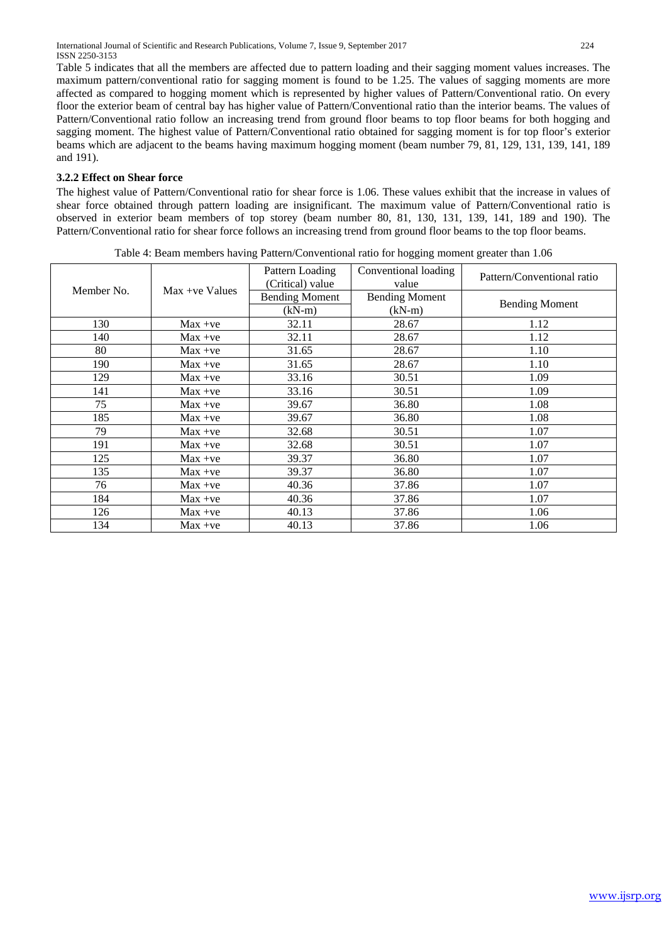Table 5 indicates that all the members are affected due to pattern loading and their sagging moment values increases. The maximum pattern/conventional ratio for sagging moment is found to be 1.25. The values of sagging moments are more affected as compared to hogging moment which is represented by higher values of Pattern/Conventional ratio. On every floor the exterior beam of central bay has higher value of Pattern/Conventional ratio than the interior beams. The values of Pattern/Conventional ratio follow an increasing trend from ground floor beams to top floor beams for both hogging and sagging moment. The highest value of Pattern/Conventional ratio obtained for sagging moment is for top floor's exterior beams which are adjacent to the beams having maximum hogging moment (beam number 79, 81, 129, 131, 139, 141, 189 and 191).

### **3.2.2 Effect on Shear force**

The highest value of Pattern/Conventional ratio for shear force is 1.06. These values exhibit that the increase in values of shear force obtained through pattern loading are insignificant. The maximum value of Pattern/Conventional ratio is observed in exterior beam members of top storey (beam number 80, 81, 130, 131, 139, 141, 189 and 190). The Pattern/Conventional ratio for shear force follows an increasing trend from ground floor beams to the top floor beams.

|            |                  | Pattern Loading<br>(Critical) value | Conventional loading<br>value | Pattern/Conventional ratio |
|------------|------------------|-------------------------------------|-------------------------------|----------------------------|
| Member No. | $Max +ve$ Values | <b>Bending Moment</b>               | <b>Bending Moment</b>         |                            |
|            |                  | $(kN-m)$                            | $(kN-m)$                      | <b>Bending Moment</b>      |
| 130        | $Max +ve$        | 32.11                               | 28.67                         | 1.12                       |
| 140        | $Max +ve$        | 32.11                               | 28.67                         | 1.12                       |
| 80         | $Max +ve$        | 31.65                               | 28.67                         | 1.10                       |
| 190        | $Max +ve$        | 31.65                               | 28.67                         | 1.10                       |
| 129        | $Max +ve$        | 33.16                               | 30.51                         | 1.09                       |
| 141        | $Max +ve$        | 33.16                               | 30.51                         | 1.09                       |
| 75         | $Max +ve$        | 39.67                               | 36.80                         | 1.08                       |
| 185        | $Max +ve$        | 39.67                               | 36.80                         | 1.08                       |
| 79         | $Max +ve$        | 32.68                               | 30.51                         | 1.07                       |
| 191        | $Max +ve$        | 32.68                               | 30.51                         | 1.07                       |
| 125        | $Max +ve$        | 39.37                               | 36.80                         | 1.07                       |
| 135        | $Max +ve$        | 39.37                               | 36.80                         | 1.07                       |
| 76         | $Max +ve$        | 40.36                               | 37.86                         | 1.07                       |
| 184        | $Max +ve$        | 40.36                               | 37.86                         | 1.07                       |
| 126        | $Max +ve$        | 40.13                               | 37.86                         | 1.06                       |
| 134        | $Max +ve$        | 40.13                               | 37.86                         | 1.06                       |

Table 4: Beam members having Pattern/Conventional ratio for hogging moment greater than 1.06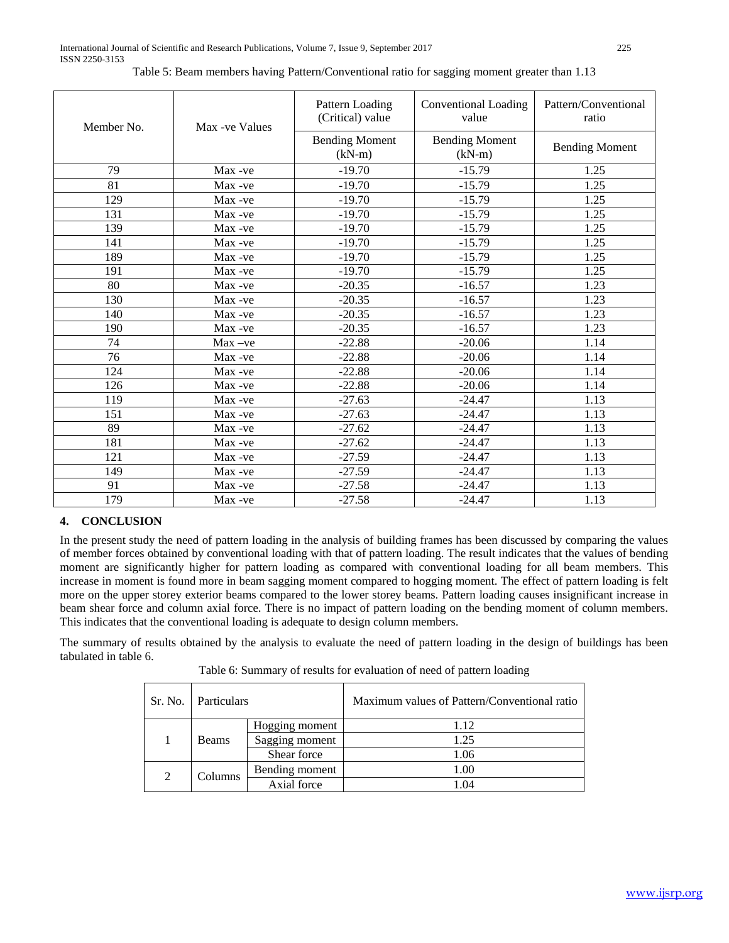| Member No. | Max -ve Values | Pattern Loading<br>(Critical) value | <b>Conventional Loading</b><br>value | Pattern/Conventional<br>ratio |
|------------|----------------|-------------------------------------|--------------------------------------|-------------------------------|
|            |                | <b>Bending Moment</b><br>$(kN-m)$   | <b>Bending Moment</b><br>$(kN-m)$    | <b>Bending Moment</b>         |
| 79         | Max-ve         | $-19.70$                            | $-15.79$                             | 1.25                          |
| 81         | Max -ve        | $-19.70$                            | $-15.79$                             | 1.25                          |
| 129        | Max -ve        | $-19.70$                            | $-15.79$                             | 1.25                          |
| 131        | Max -ve        | $-19.70$                            | $-15.79$                             | 1.25                          |
| 139        | Max -ve        | $-19.70$                            | $-15.79$                             | 1.25                          |
| 141        | Max -ve        | $-19.70$                            | $-15.79$                             | 1.25                          |
| 189        | Max -ve        | $-19.70$                            | $-15.79$                             | 1.25                          |
| 191        | Max -ve        | $-19.70$                            | $-15.79$                             | 1.25                          |
| 80         | Max -ve        | $-20.35$                            | $-16.57$                             | 1.23                          |
| 130        | Max -ve        | $-20.35$                            | $-16.57$                             | 1.23                          |
| 140        | Max -ve        | $-20.35$                            | $-16.57$                             | 1.23                          |
| 190        | Max -ve        | $-20.35$                            | $-16.57$                             | 1.23                          |
| 74         | $Max -ve$      | $-22.88$                            | $-20.06$                             | 1.14                          |
| 76         | Max -ve        | $-22.88$                            | $-20.06$                             | 1.14                          |
| 124        | Max -ve        | $-22.88$                            | $-20.06$                             | 1.14                          |
| 126        | Max -ve        | $-22.88$                            | $-20.06$                             | 1.14                          |
| 119        | Max -ve        | $-27.63$                            | $-24.47$                             | 1.13                          |
| 151        | Max -ve        | $-27.63$                            | $-24.47$                             | 1.13                          |
| 89         | Max -ve        | $-27.62$                            | $-24.47$                             | 1.13                          |
| 181        | Max -ve        | $-27.62$                            | $-24.47$                             | 1.13                          |
| 121        | Max -ve        | $-27.59$                            | $-24.47$                             | 1.13                          |
| 149        | Max -ve        | $-27.59$                            | $-24.47$                             | 1.13                          |
| 91         | Max -ve        | $-27.58$                            | $-24.47$                             | 1.13                          |
| 179        | Max -ve        | $-27.58$                            | $-24.47$                             | 1.13                          |

Table 5: Beam members having Pattern/Conventional ratio for sagging moment greater than 1.13

## **4. CONCLUSION**

In the present study the need of pattern loading in the analysis of building frames has been discussed by comparing the values of member forces obtained by conventional loading with that of pattern loading. The result indicates that the values of bending moment are significantly higher for pattern loading as compared with conventional loading for all beam members. This increase in moment is found more in beam sagging moment compared to hogging moment. The effect of pattern loading is felt more on the upper storey exterior beams compared to the lower storey beams. Pattern loading causes insignificant increase in beam shear force and column axial force. There is no impact of pattern loading on the bending moment of column members. This indicates that the conventional loading is adequate to design column members.

The summary of results obtained by the analysis to evaluate the need of pattern loading in the design of buildings has been tabulated in table 6.

Table 6: Summary of results for evaluation of need of pattern loading

| Sr. No.                   | Particulars    |                | Maximum values of Pattern/Conventional ratio |
|---------------------------|----------------|----------------|----------------------------------------------|
|                           |                | Hogging moment | 1.12                                         |
|                           | <b>Beams</b>   | Sagging moment | 1.25                                         |
|                           |                | Shear force    | 1.06                                         |
| $\overline{2}$<br>Columns | Bending moment | 1.00           |                                              |
|                           | Axial force    | 1 Q4           |                                              |